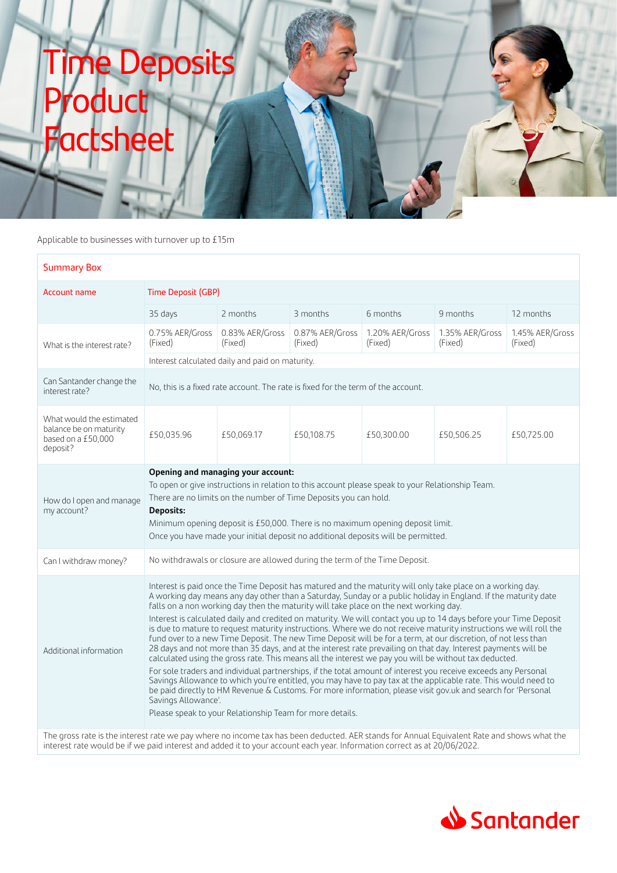## Time Deposits roduct **Factsheet**

Applicable to businesses with turnover up to £15m

| <b>Summary Box</b>                                                                   |                                                                                                                                                                                                                                                                                                                                                                                                                                                                                                                                                                                                                                                                                                                                                                                                                                                                                                                                                                                                                                                                                                                                                                                                                                                                                                                                                   |                            |                            |                            |                                |                            |  |  |
|--------------------------------------------------------------------------------------|---------------------------------------------------------------------------------------------------------------------------------------------------------------------------------------------------------------------------------------------------------------------------------------------------------------------------------------------------------------------------------------------------------------------------------------------------------------------------------------------------------------------------------------------------------------------------------------------------------------------------------------------------------------------------------------------------------------------------------------------------------------------------------------------------------------------------------------------------------------------------------------------------------------------------------------------------------------------------------------------------------------------------------------------------------------------------------------------------------------------------------------------------------------------------------------------------------------------------------------------------------------------------------------------------------------------------------------------------|----------------------------|----------------------------|----------------------------|--------------------------------|----------------------------|--|--|
| <b>Account name</b>                                                                  | Time Deposit (GBP)                                                                                                                                                                                                                                                                                                                                                                                                                                                                                                                                                                                                                                                                                                                                                                                                                                                                                                                                                                                                                                                                                                                                                                                                                                                                                                                                |                            |                            |                            |                                |                            |  |  |
|                                                                                      | 35 days                                                                                                                                                                                                                                                                                                                                                                                                                                                                                                                                                                                                                                                                                                                                                                                                                                                                                                                                                                                                                                                                                                                                                                                                                                                                                                                                           | 2 months                   | 3 months                   | 6 months                   | 9 months                       | 12 months                  |  |  |
| What is the interest rate?                                                           | 0.75% AER/Gross<br>(Fixed)                                                                                                                                                                                                                                                                                                                                                                                                                                                                                                                                                                                                                                                                                                                                                                                                                                                                                                                                                                                                                                                                                                                                                                                                                                                                                                                        | 0.83% AER/Gross<br>(Fixed) | 0.87% AER/Gross<br>(Fixed) | 1.20% AER/Gross<br>(Fixed) | 1.35% AER/Gross<br>(Fixed)     | 1.45% AER/Gross<br>(Fixed) |  |  |
|                                                                                      | Interest calculated daily and paid on maturity.                                                                                                                                                                                                                                                                                                                                                                                                                                                                                                                                                                                                                                                                                                                                                                                                                                                                                                                                                                                                                                                                                                                                                                                                                                                                                                   |                            |                            |                            |                                |                            |  |  |
| Can Santander change the<br>interest rate?                                           | No, this is a fixed rate account. The rate is fixed for the term of the account.                                                                                                                                                                                                                                                                                                                                                                                                                                                                                                                                                                                                                                                                                                                                                                                                                                                                                                                                                                                                                                                                                                                                                                                                                                                                  |                            |                            |                            |                                |                            |  |  |
| What would the estimated<br>balance be on maturity<br>based on a £50,000<br>deposit? | £50,035.96                                                                                                                                                                                                                                                                                                                                                                                                                                                                                                                                                                                                                                                                                                                                                                                                                                                                                                                                                                                                                                                                                                                                                                                                                                                                                                                                        | £50,069.17                 | £50,108.75                 | £50,300.00                 | £50,506.25                     | £50,725.00                 |  |  |
| How do I open and manage<br>my account?                                              | Opening and managing your account:<br>To open or give instructions in relation to this account please speak to your Relationship Team.<br>There are no limits on the number of Time Deposits you can hold.<br>Deposits:<br>Minimum opening deposit is £50,000. There is no maximum opening deposit limit.<br>Once you have made your initial deposit no additional deposits will be permitted.                                                                                                                                                                                                                                                                                                                                                                                                                                                                                                                                                                                                                                                                                                                                                                                                                                                                                                                                                    |                            |                            |                            |                                |                            |  |  |
| Can I withdraw money?                                                                | No withdrawals or closure are allowed during the term of the Time Deposit.                                                                                                                                                                                                                                                                                                                                                                                                                                                                                                                                                                                                                                                                                                                                                                                                                                                                                                                                                                                                                                                                                                                                                                                                                                                                        |                            |                            |                            |                                |                            |  |  |
| Additional information                                                               | Interest is paid once the Time Deposit has matured and the maturity will only take place on a working day.<br>A working day means any day other than a Saturday, Sunday or a public holiday in England. If the maturity date<br>falls on a non working day then the maturity will take place on the next working day.<br>Interest is calculated daily and credited on maturity. We will contact you up to 14 days before your Time Deposit<br>is due to mature to request maturity instructions. Where we do not receive maturity instructions we will roll the<br>fund over to a new Time Deposit. The new Time Deposit will be for a term, at our discretion, of not less than<br>28 days and not more than 35 days, and at the interest rate prevailing on that day. Interest payments will be<br>calculated using the gross rate. This means all the interest we pay you will be without tax deducted.<br>For sole traders and individual partnerships, if the total amount of interest you receive exceeds any Personal<br>Savings Allowance to which you're entitled, you may have to pay tax at the applicable rate. This would need to<br>be paid directly to HM Revenue & Customs. For more information, please visit gov.uk and search for 'Personal<br>Savings Allowance'.<br>Please speak to your Relationship Team for more details. |                            |                            |                            |                                |                            |  |  |
|                                                                                      |                                                                                                                                                                                                                                                                                                                                                                                                                                                                                                                                                                                                                                                                                                                                                                                                                                                                                                                                                                                                                                                                                                                                                                                                                                                                                                                                                   |                            |                            | $\blacksquare$             | <b>THE REPORT OF A PARTIES</b> |                            |  |  |

The gross rate is the interest rate we pay where no income tax has been deducted. AER stands for Annual Equivalent Rate and shows what the interest rate would be if we paid interest and added it to your account each year. Information correct as at 20/06/2022.

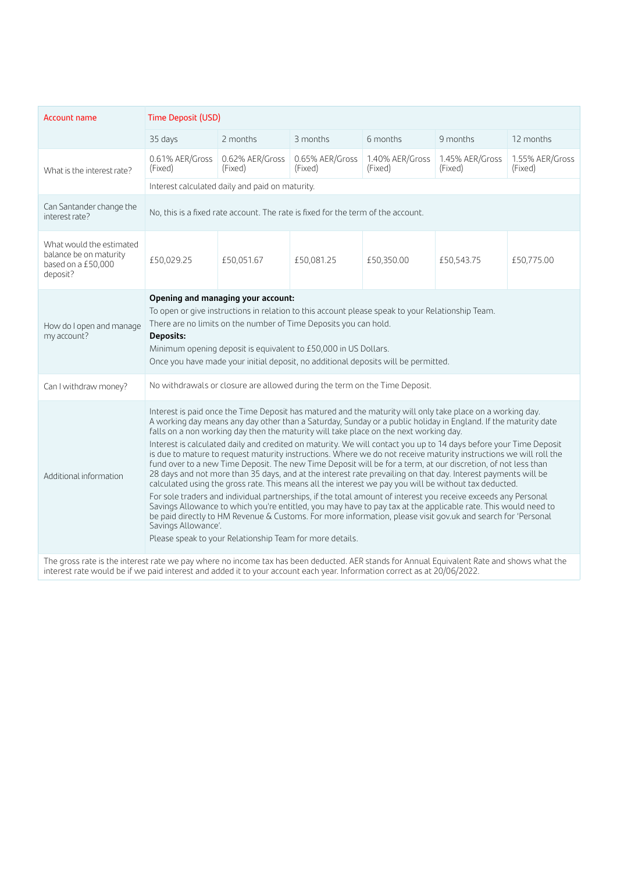| Account name                                                                         | Time Deposit (USD)                                                                                                                                                                                                                                                                                                                                                                                                                                                                                                                                                                                                                                                                                                                                                                                                                                                                                                                                                                                                                                                                                                                                                                                                                                                                                                                                |                            |                            |                            |                            |                            |  |  |
|--------------------------------------------------------------------------------------|---------------------------------------------------------------------------------------------------------------------------------------------------------------------------------------------------------------------------------------------------------------------------------------------------------------------------------------------------------------------------------------------------------------------------------------------------------------------------------------------------------------------------------------------------------------------------------------------------------------------------------------------------------------------------------------------------------------------------------------------------------------------------------------------------------------------------------------------------------------------------------------------------------------------------------------------------------------------------------------------------------------------------------------------------------------------------------------------------------------------------------------------------------------------------------------------------------------------------------------------------------------------------------------------------------------------------------------------------|----------------------------|----------------------------|----------------------------|----------------------------|----------------------------|--|--|
|                                                                                      | 35 days                                                                                                                                                                                                                                                                                                                                                                                                                                                                                                                                                                                                                                                                                                                                                                                                                                                                                                                                                                                                                                                                                                                                                                                                                                                                                                                                           | 2 months                   | 3 months                   | 6 months                   | 9 months                   | 12 months                  |  |  |
| What is the interest rate?                                                           | 0.61% AER/Gross<br>(Fixed)                                                                                                                                                                                                                                                                                                                                                                                                                                                                                                                                                                                                                                                                                                                                                                                                                                                                                                                                                                                                                                                                                                                                                                                                                                                                                                                        | 0.62% AER/Gross<br>(Fixed) | 0.65% AER/Gross<br>(Fixed) | 1.40% AER/Gross<br>(Fixed) | 1.45% AER/Gross<br>(Fixed) | 1.55% AER/Gross<br>(Fixed) |  |  |
|                                                                                      | Interest calculated daily and paid on maturity.                                                                                                                                                                                                                                                                                                                                                                                                                                                                                                                                                                                                                                                                                                                                                                                                                                                                                                                                                                                                                                                                                                                                                                                                                                                                                                   |                            |                            |                            |                            |                            |  |  |
| Can Santander change the<br>interest rate?                                           | No, this is a fixed rate account. The rate is fixed for the term of the account.                                                                                                                                                                                                                                                                                                                                                                                                                                                                                                                                                                                                                                                                                                                                                                                                                                                                                                                                                                                                                                                                                                                                                                                                                                                                  |                            |                            |                            |                            |                            |  |  |
| What would the estimated<br>balance be on maturity<br>based on a £50,000<br>deposit? | £50,029.25                                                                                                                                                                                                                                                                                                                                                                                                                                                                                                                                                                                                                                                                                                                                                                                                                                                                                                                                                                                                                                                                                                                                                                                                                                                                                                                                        | £50,051.67                 | £50,081.25                 | £50,350.00                 | £50,543.75                 | £50,775.00                 |  |  |
| How do I open and manage<br>my account?                                              | Opening and managing your account:<br>To open or give instructions in relation to this account please speak to your Relationship Team.<br>There are no limits on the number of Time Deposits you can hold.<br>Deposits:<br>Minimum opening deposit is equivalent to £50,000 in US Dollars.<br>Once you have made your initial deposit, no additional deposits will be permitted.                                                                                                                                                                                                                                                                                                                                                                                                                                                                                                                                                                                                                                                                                                                                                                                                                                                                                                                                                                  |                            |                            |                            |                            |                            |  |  |
| Can I withdraw money?                                                                | No withdrawals or closure are allowed during the term on the Time Deposit.                                                                                                                                                                                                                                                                                                                                                                                                                                                                                                                                                                                                                                                                                                                                                                                                                                                                                                                                                                                                                                                                                                                                                                                                                                                                        |                            |                            |                            |                            |                            |  |  |
| Additional information                                                               | Interest is paid once the Time Deposit has matured and the maturity will only take place on a working day.<br>A working day means any day other than a Saturday, Sunday or a public holiday in England. If the maturity date<br>falls on a non working day then the maturity will take place on the next working day.<br>Interest is calculated daily and credited on maturity. We will contact you up to 14 days before your Time Deposit<br>is due to mature to request maturity instructions. Where we do not receive maturity instructions we will roll the<br>fund over to a new Time Deposit. The new Time Deposit will be for a term, at our discretion, of not less than<br>28 days and not more than 35 days, and at the interest rate prevailing on that day. Interest payments will be<br>calculated using the gross rate. This means all the interest we pay you will be without tax deducted.<br>For sole traders and individual partnerships, if the total amount of interest you receive exceeds any Personal<br>Savings Allowance to which you're entitled, you may have to pay tax at the applicable rate. This would need to<br>be paid directly to HM Revenue & Customs. For more information, please visit gov.uk and search for 'Personal<br>Savings Allowance'.<br>Please speak to your Relationship Team for more details. |                            |                            |                            |                            |                            |  |  |

The gross rate is the interest rate we pay where no income tax has been deducted. AER stands for Annual Equivalent Rate and shows what the interest rate would be if we paid interest and added it to your account each year. Information correct as at 20/06/2022.